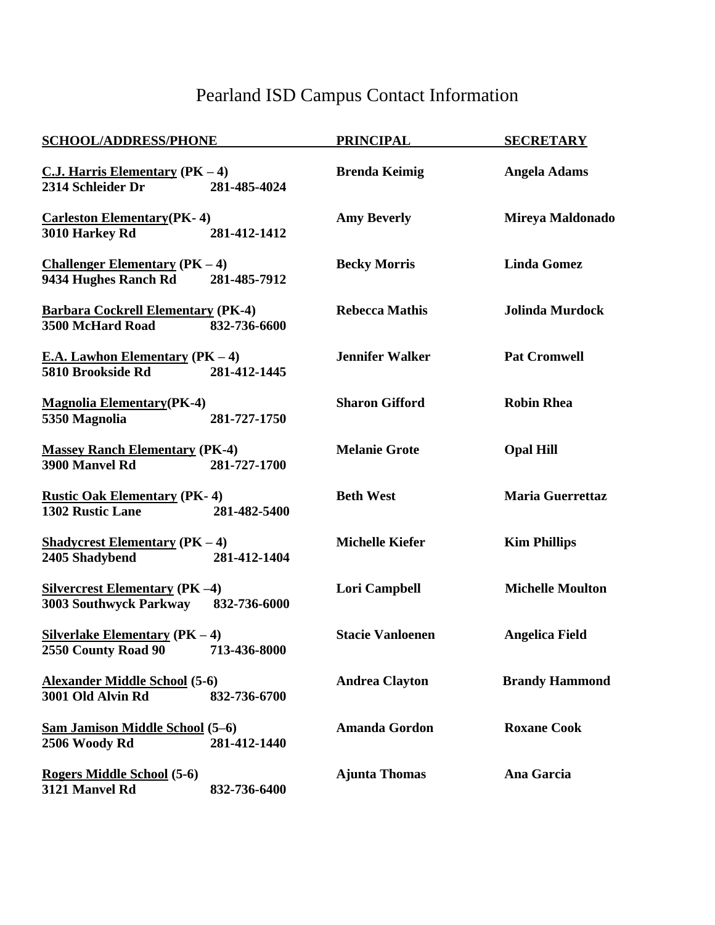## Pearland ISD Campus Contact Information

| <b>SCHOOL/ADDRESS/PHONE</b>                                                              | <b>PRINCIPAL</b>        | <b>SECRETARY</b>        |
|------------------------------------------------------------------------------------------|-------------------------|-------------------------|
| $C.J.$ Harris Elementary (PK - 4)<br>2314 Schleider Dr<br>281-485-4024                   | <b>Brenda Keimig</b>    | <b>Angela Adams</b>     |
| <b>Carleston Elementary (PK-4)</b><br>281-412-1412<br>3010 Harkey Rd                     | <b>Amy Beverly</b>      | Mireya Maldonado        |
| <b>Challenger Elementary (<math>PK-4</math>)</b><br>9434 Hughes Ranch Rd<br>281-485-7912 | <b>Becky Morris</b>     | <b>Linda Gomez</b>      |
| <b>Barbara Cockrell Elementary (PK-4)</b><br>3500 McHard Road<br>832-736-6600            | <b>Rebecca Mathis</b>   | <b>Jolinda Murdock</b>  |
| <b>E.A. Lawhon Elementary (PK - 4)</b><br>5810 Brookside Rd<br>281-412-1445              | <b>Jennifer Walker</b>  | <b>Pat Cromwell</b>     |
| <b>Magnolia Elementary (PK-4)</b><br>5350 Magnolia<br>281-727-1750                       | <b>Sharon Gifford</b>   | <b>Robin Rhea</b>       |
| <b>Massey Ranch Elementary (PK-4)</b><br>3900 Manvel Rd<br>281-727-1700                  | <b>Melanie Grote</b>    | <b>Opal Hill</b>        |
| <b>Rustic Oak Elementary (PK-4)</b><br>1302 Rustic Lane<br>281-482-5400                  | <b>Beth West</b>        | <b>Maria Guerrettaz</b> |
| <b>Shadycrest Elementary (PK – 4)</b><br>2405 Shadybend<br>281-412-1404                  | <b>Michelle Kiefer</b>  | <b>Kim Phillips</b>     |
| <b>Silvercrest Elementary (PK-4)</b><br>3003 Southwyck Parkway 832-736-6000              | Lori Campbell           | <b>Michelle Moulton</b> |
| Silverlake Elementary $(PK-4)$<br>2550 County Road 90 713-436-8000                       | <b>Stacie Vanloenen</b> | <b>Angelica Field</b>   |
| <b>Alexander Middle School (5-6)</b><br>3001 Old Alvin Rd<br>832-736-6700                | <b>Andrea Clayton</b>   | <b>Brandy Hammond</b>   |
| Sam Jamison Middle School (5-6)<br>281-412-1440<br>2506 Woody Rd                         | <b>Amanda Gordon</b>    | <b>Roxane Cook</b>      |
| Rogers Middle School (5-6)<br>3121 Manvel Rd<br>832-736-6400                             | <b>Ajunta Thomas</b>    | Ana Garcia              |